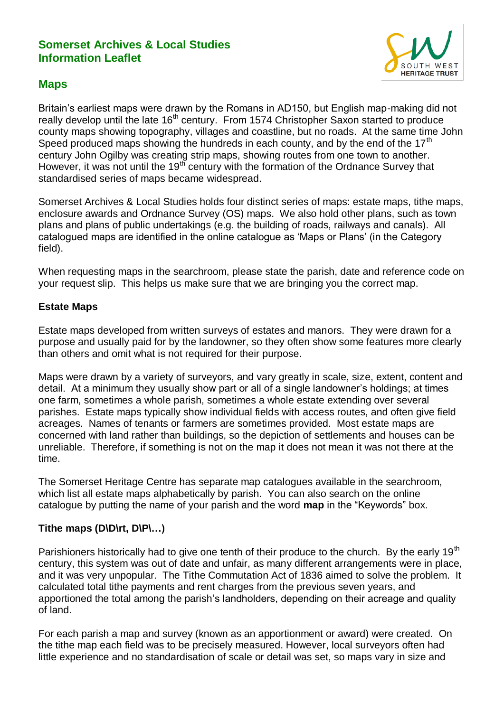## **Somerset Archives & Local Studies Information Leaflet**



# **Maps**

Britain's earliest maps were drawn by the Romans in AD150, but English map-making did not really develop until the late 16<sup>th</sup> century. From 1574 Christopher Saxon started to produce county maps showing topography, villages and coastline, but no roads. At the same time John Speed produced maps showing the hundreds in each county, and by the end of the  $17<sup>th</sup>$ century John Ogilby was creating strip maps, showing routes from one town to another. However, it was not until the 19<sup>th</sup> century with the formation of the Ordnance Survey that standardised series of maps became widespread.

Somerset Archives & Local Studies holds four distinct series of maps: estate maps, tithe maps, enclosure awards and Ordnance Survey (OS) maps. We also hold other plans, such as town plans and plans of public undertakings (e.g. the building of roads, railways and canals). All catalogued maps are identified in the online catalogue as 'Maps or Plans' (in the Category field).

When requesting maps in the searchroom, please state the parish, date and reference code on your request slip. This helps us make sure that we are bringing you the correct map.

## **Estate Maps**

Estate maps developed from written surveys of estates and manors. They were drawn for a purpose and usually paid for by the landowner, so they often show some features more clearly than others and omit what is not required for their purpose.

Maps were drawn by a variety of surveyors, and vary greatly in scale, size, extent, content and detail. At a minimum they usually show part or all of a single landowner's holdings; at times one farm, sometimes a whole parish, sometimes a whole estate extending over several parishes. Estate maps typically show individual fields with access routes, and often give field acreages. Names of tenants or farmers are sometimes provided. Most estate maps are concerned with land rather than buildings, so the depiction of settlements and houses can be unreliable. Therefore, if something is not on the map it does not mean it was not there at the time.

The Somerset Heritage Centre has separate map catalogues available in the searchroom, which list all estate maps alphabetically by parish. You can also search on the online catalogue by putting the name of your parish and the word **map** in the "Keywords" box.

## **Tithe maps (D\D\rt, D\P\…)**

Parishioners historically had to give one tenth of their produce to the church. By the early 19<sup>th</sup> century, this system was out of date and unfair, as many different arrangements were in place, and it was very unpopular. The Tithe Commutation Act of 1836 aimed to solve the problem. It calculated total tithe payments and rent charges from the previous seven years, and apportioned the total among the parish's landholders, depending on their acreage and quality of land.

For each parish a map and survey (known as an apportionment or award) were created. On the tithe map each field was to be precisely measured. However, local surveyors often had little experience and no standardisation of scale or detail was set, so maps vary in size and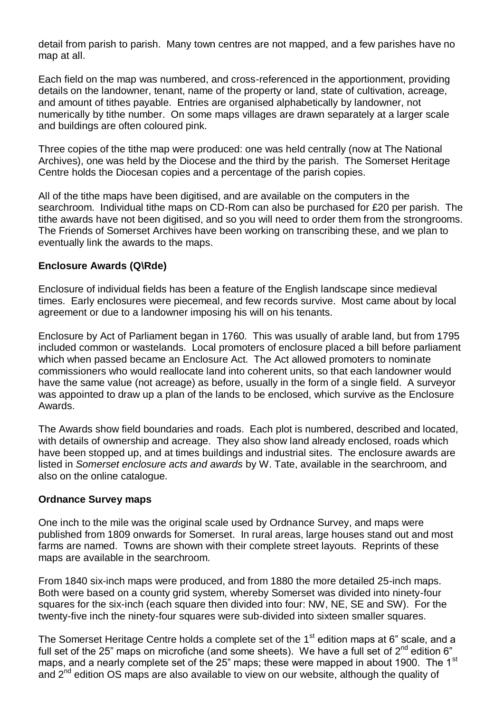detail from parish to parish. Many town centres are not mapped, and a few parishes have no map at all.

Each field on the map was numbered, and cross-referenced in the apportionment, providing details on the landowner, tenant, name of the property or land, state of cultivation, acreage, and amount of tithes payable. Entries are organised alphabetically by landowner, not numerically by tithe number. On some maps villages are drawn separately at a larger scale and buildings are often coloured pink.

Three copies of the tithe map were produced: one was held centrally (now at The National Archives), one was held by the Diocese and the third by the parish. The Somerset Heritage Centre holds the Diocesan copies and a percentage of the parish copies.

All of the tithe maps have been digitised, and are available on the computers in the searchroom. Individual tithe maps on CD-Rom can also be purchased for £20 per parish. The tithe awards have not been digitised, and so you will need to order them from the strongrooms. The Friends of Somerset Archives have been working on transcribing these, and we plan to eventually link the awards to the maps.

## **Enclosure Awards (Q\Rde)**

Enclosure of individual fields has been a feature of the English landscape since medieval times. Early enclosures were piecemeal, and few records survive. Most came about by local agreement or due to a landowner imposing his will on his tenants.

Enclosure by Act of Parliament began in 1760. This was usually of arable land, but from 1795 included common or wastelands. Local promoters of enclosure placed a bill before parliament which when passed became an Enclosure Act. The Act allowed promoters to nominate commissioners who would reallocate land into coherent units, so that each landowner would have the same value (not acreage) as before, usually in the form of a single field. A surveyor was appointed to draw up a plan of the lands to be enclosed, which survive as the Enclosure Awards.

The Awards show field boundaries and roads. Each plot is numbered, described and located, with details of ownership and acreage. They also show land already enclosed, roads which have been stopped up, and at times buildings and industrial sites. The enclosure awards are listed in *Somerset enclosure acts and awards* by W. Tate, available in the searchroom, and also on the online catalogue.

#### **Ordnance Survey maps**

One inch to the mile was the original scale used by Ordnance Survey, and maps were published from 1809 onwards for Somerset. In rural areas, large houses stand out and most farms are named. Towns are shown with their complete street layouts. Reprints of these maps are available in the searchroom.

From 1840 six-inch maps were produced, and from 1880 the more detailed 25-inch maps. Both were based on a county grid system, whereby Somerset was divided into ninety-four squares for the six-inch (each square then divided into four: NW, NE, SE and SW). For the twenty-five inch the ninety-four squares were sub-divided into sixteen smaller squares.

The Somerset Heritage Centre holds a complete set of the 1<sup>st</sup> edition maps at 6" scale, and a full set of the 25" maps on microfiche (and some sheets). We have a full set of  $2^{nd}$  edition 6" maps, and a nearly complete set of the 25" maps; these were mapped in about 1900. The 1<sup>st</sup> and 2<sup>nd</sup> edition OS maps are also available to view on our website, although the quality of